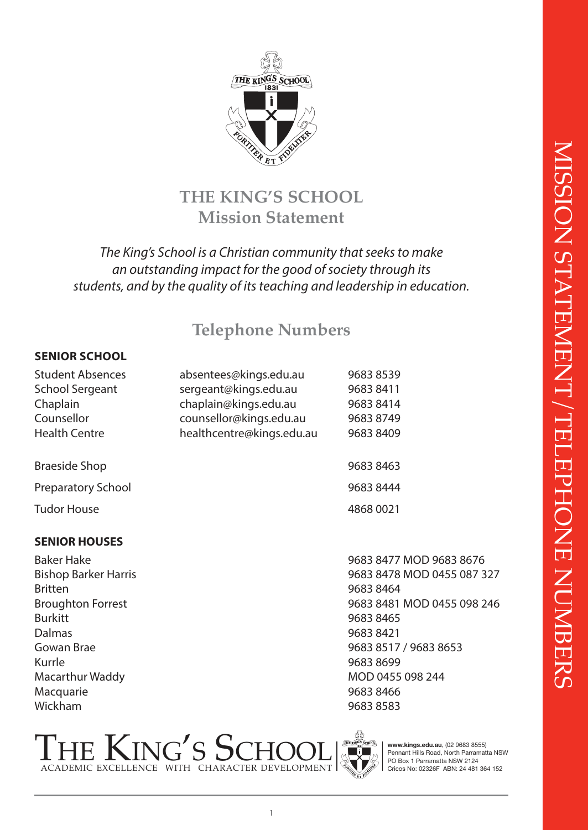

## **THE KING'S SCHOOL Mission Statement**

### *The King's School is a Christian community that seeks to make an outstanding impact for the good of society through its students, and by the quality of its teaching and leadership in education.*

## **Telephone Numbers**

#### **SENIOR SCHOOL**

| <b>Student Absences</b> | absentees@kings.edu.au    | 96838539  |
|-------------------------|---------------------------|-----------|
| School Sergeant         | sergeant@kings.edu.au     | 9683 8411 |
| Chaplain                | chaplain@kings.edu.au     | 9683 8414 |
| Counsellor              | counsellor@kings.edu.au   | 9683 8749 |
| Health Centre           | healthcentre@kings.edu.au | 9683 8409 |
|                         |                           |           |
| Braeside Shop           |                           | 9683 8463 |
| Preparatory School      |                           | 9683 8444 |
| Tudor House             |                           | 4868 0021 |

#### **SENIOR HOUSES**

Britten 9683 8464 Burkitt 9683 8465 Dalmas 9683 8421 Kurrle  $\blacksquare$  699 Macquarie 9683 8466 Wickham 9683 8583

Baker Hake 9683 8477 MOD 9683 8676 Bishop Barker Harris 9683 8478 MOD 0455 087 327 Broughton Forrest 9683 8481 MOD 0455 098 246 Gowan Brae 9683 8517 / 9683 8653 Macarthur Waddy محاسب المستقل لله 155 098 244





**www.kings.edu.au**, (02 9683 8555) Pennant Hills Road, North Parramatta NSW PO Box 1 Parramatta NSW 2124 Cricos No: 02326F ABN: 24 481 364 152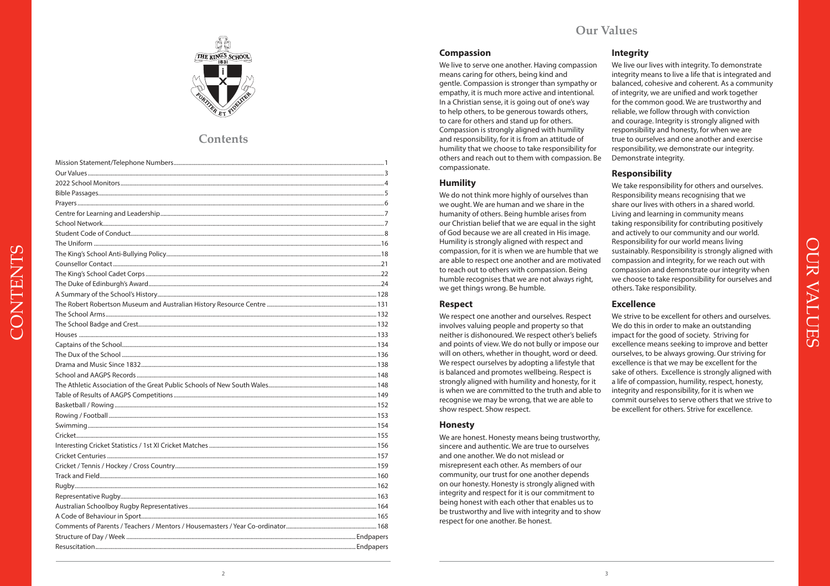

## **Contents**

CONTENTS

#### **Compassion**

We live to serve one another. Having compassion means caring for others, being kind and gentle. Compassion is stronger than sympathy or empathy, it is much more active and intentional. In a Christian sense, it is going out of one's way to help others, to be generous towards others, to care for others and stand up for others. Compassion is strongly aligned with humility and responsibility, for it is from an attitude of humility that we choose to take responsibility for others and reach out to them with compassion. Be compassionate.

#### **Humility**

We do not think more highly of ourselves than we ought. We are human and we share in the humanity of others. Being humble arises from our Christian belief that we are equal in the sight of God because we are all created in His image. Humility is strongly aligned with respect and compassion, for it is when we are humble that we are able to respect one another and are motivated to reach out to others with compassion. Being humble recognises that we are not always right, we get things wrong. Be humble.

#### **Respect**

We respect one another and ourselves. Respect involves valuing people and property so that neither is dishonoured. We respect other's beliefs and points of view. We do not bully or impose our will on others, whether in thought, word or deed. We respect ourselves by adopting a lifestyle that is balanced and promotes wellbeing. Respect is strongly aligned with humility and honesty, for it is when we are committed to the truth and able to recognise we may be wrong, that we are able to show respect. Show respect.

#### **Honesty**

We are honest. Honesty means being trustworthy, sincere and authentic. We are true to ourselves and one another. We do not mislead or misrepresent each other. As members of our community, our trust for one another depends on our honesty. Honesty is strongly aligned with integrity and respect for it is our commitment to being honest with each other that enables us to be trustworthy and live with integrity and to show respect for one another. Be honest.

#### **Integrity**

We live our lives with integrity. To demonstrate integrity means to live a life that is integrated and balanced, cohesive and coherent. As a community of integrity, we are unified and work together for the common good. We are trustworthy and reliable, we follow through with conviction and courage. Integrity is strongly aligned with responsibility and honesty, for when we are true to ourselves and one another and exercise responsibility, we demonstrate our integrity. Demonstrate integrity.

#### **Responsibility**

We take responsibility for others and ourselves. Responsibility means recognising that we share our lives with others in a shared world. Living and learning in community means taking responsibility for contributing positively and actively to our community and our world. Responsibility for our world means living sustainably. Responsibility is strongly aligned with compassion and integrity, for we reach out with compassion and demonstrate our integrity when we choose to take responsibility for ourselves and others. Take responsibility.

#### **Excellence**

We strive to be excellent for others and ourselves. We do this in order to make an outstanding impact for the good of society. Striving for excellence means seeking to improve and better ourselves, to be always growing. Our striving for excellence is that we may be excellent for the sake of others. Excellence is strongly aligned with a life of compassion, humility, respect, honesty, integrity and responsibility, for it is when we commit ourselves to serve others that we strive to be excellent for others. Strive for excellence.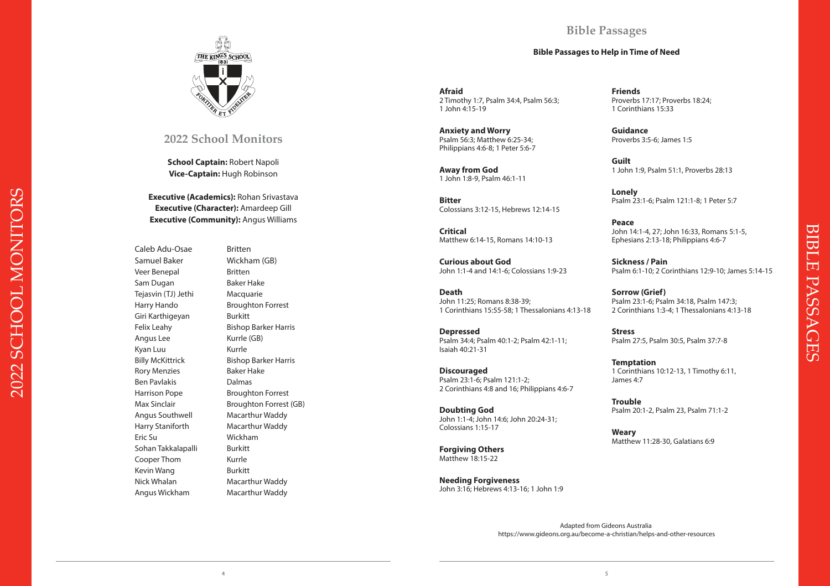## **Bible Passages**

#### **Bible Passages to Help in Time of Need**



### **2022 School Monitors**

**School Captain:** Robert Napoli **Vice-Captain:** Hugh Robinson

**Executive (Academics):** Rohan Srivastava **Executive (Character):** Amardeep Gill **Executive (Community):** Angus Williams

Caleb Adu-Osae Britten Samuel Baker Wickham (GB) Veer Benepal Britten Sam Dugan Baker Hake Tejasvin (TJ) Jethi Macquarie Harry Hando Broughton Forrest Giri Karthigeyan Burkitt Felix Leahy Bishop Barker Harris Angus Lee Kurrle (GB) Kyan Luu Kurrle Billy McKittrick Bishop Barker Harris Rory Menzies **Baker Hake** Ben Pavlakis **Dalmas** Harrison Pope Broughton Forrest Max Sinclair **Broughton Forrest (GB)** Angus Southwell Macarthur Waddy Harry Staniforth Macarthur Waddy Eric Su Wickham Sohan Takkalapalli Burkitt Cooper Thom Kurrle Kevin Wang Burkitt Nick Whalan Macarthur Waddy Angus Wickham Macarthur Waddy

**Afraid** 2 Timothy 1:7, Psalm 34:4, Psalm 56:3; 1 John 4:15-19

**Anxiety and Worry** Psalm 56:3; Matthew 6:25-34; Philippians 4:6-8; 1 Peter 5:6-7

**Away from God**  1 John 1:8-9, Psalm 46:1-11

**Bitter**  Colossians 3:12-15, Hebrews 12:14-15

**Critical**  Matthew 6:14-15, Romans 14:10-13

**Curious about God**  John 1:1-4 and 14:1-6; Colossians 1:9-23

**Death**  John 11:25; Romans 8:38-39; 1 Corinthians 15:55-58; 1 Thessalonians 4:13-18

**Depressed**  Psalm 34:4; Psalm 40:1-2; Psalm 42:1-11; Isaiah 40:21-31

**Discouraged**  Psalm 23:1-6; Psalm 121:1-2; 2 Corinthians 4:8 and 16; Philippians 4:6-7

**Doubting God**  John 1:1-4; John 14:6; John 20:24-31; Colossians 1:15-17

**Forgiving Others**  Matthew 18:15-22

**Needing Forgiveness**  John 3:16; Hebrews 4:13-16; 1 John 1:9 **Friends**  Proverbs 17:17; Proverbs 18:24; 1 Corinthians 15:33

**Guidance**  Proverbs 3:5-6; James 1:5

**Guilt**  1 John 1:9, Psalm 51:1, Proverbs 28:13

**Lonely**  Psalm 23:1-6; Psalm 121:1-8; 1 Peter 5:7

**Peace**  John 14:1-4, 27; John 16:33, Romans 5:1-5, Ephesians 2:13-18; Philippians 4:6-7

**Sickness / Pain**  Psalm 6:1-10; 2 Corinthians 12:9-10; James 5:14-15 BIBLE PASSAGES

PASSAGES

BIBLE

**Sorrow (Grief)**  Psalm 23:1-6; Psalm 34:18, Psalm 147:3; 2 Corinthians 1:3-4; 1 Thessalonians 4:13-18

**Stress**  Psalm 27:5, Psalm 30:5, Psalm 37:7-8

**Temptation**  1 Corinthians 10:12-13, 1 Timothy 6:11, James 4:7

**Trouble**  Psalm 20:1-2, Psalm 23, Psalm 71:1-2

**Weary**  Matthew 11:28-30, Galatians 6:9

Adapted from Gideons Australia https://www.gideons.org.au/become-a-christian/helps-and-other-resources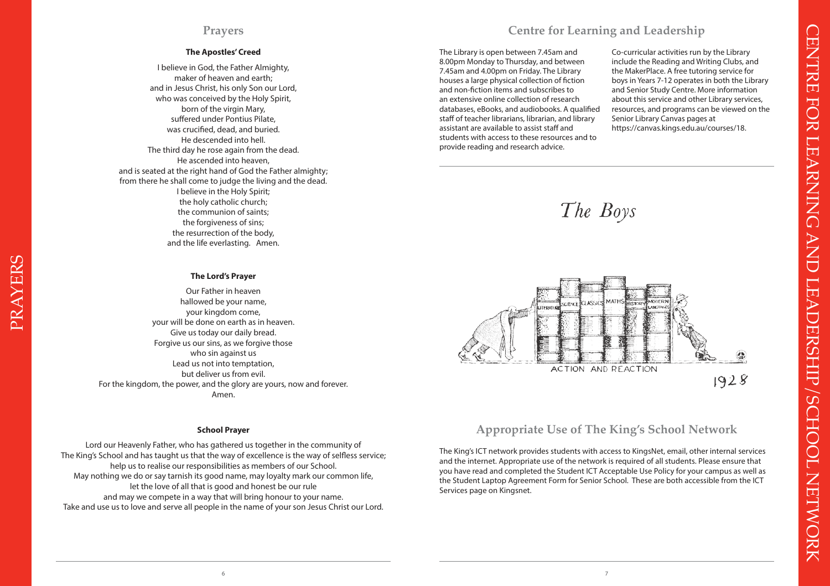## **Prayers**

#### **The Apostles' Creed**

I believe in God, the Father Almighty, maker of heaven and earth; and in Jesus Christ, his only Son our Lord, who was conceived by the Holy Spirit, born of the virgin Mary, suffered under Pontius Pilate, was crucified, dead, and buried. He descended into hell. The third day he rose again from the dead. He ascended into heaven, and is seated at the right hand of God the Father almighty; from there he shall come to judge the living and the dead. I believe in the Holy Spirit; the holy catholic church; the communion of saints; the forgiveness of sins; the resurrection of the body, and the life everlasting. Amen.

#### **The Lord's Prayer**

Our Father in heaven hallowed be your name, your kingdom come, your will be done on earth as in heaven. Give us today our daily bread. Forgive us our sins, as we forgive those who sin against us Lead us not into temptation, but deliver us from evil. For the kingdom, the power, and the glory are yours, now and forever. Amen.

#### **School Prayer**

Lord our Heavenly Father, who has gathered us together in the community of The King's School and has taught us that the way of excellence is the way of selfless service; help us to realise our responsibilities as members of our School. May nothing we do or say tarnish its good name, may loyalty mark our common life, let the love of all that is good and honest be our rule and may we compete in a way that will bring honour to your name. Take and use us to love and serve all people in the name of your son Jesus Christ our Lord.

## **Centre for Learning and Leadership**

The Library is open between 7.45am and 8.00pm Monday to Thursday, and between 7.45am and 4.00pm on Friday. The Library houses a large physical collection of fiction and non-fiction items and subscribes to an extensive online collection of research databases, eBooks, and audiobooks. A qualified staff of teacher librarians, librarian, and library assistant are available to assist staff and students with access to these resources and to provide reading and research advice.

Co-curricular activities run by the Library include the Reading and Writing Clubs, and the MakerPlace. A free tutoring service for boys in Years 7-12 operates in both the Library and Senior Study Centre. More information about this service and other Library services, resources, and programs can be viewed on the Senior Library Canvas pages at https://canvas.kings.edu.au/courses/18.





## **Appropriate Use of The King's School Network**

The King's ICT network provides students with access to KingsNet, email, other internal services and the internet. Appropriate use of the network is required of all students. Please ensure that you have read and completed the Student ICT Acceptable Use Policy for your campus as well as the Student Laptop Agreement Form for Senior School. These are both accessible from the ICT Services page on Kingsnet.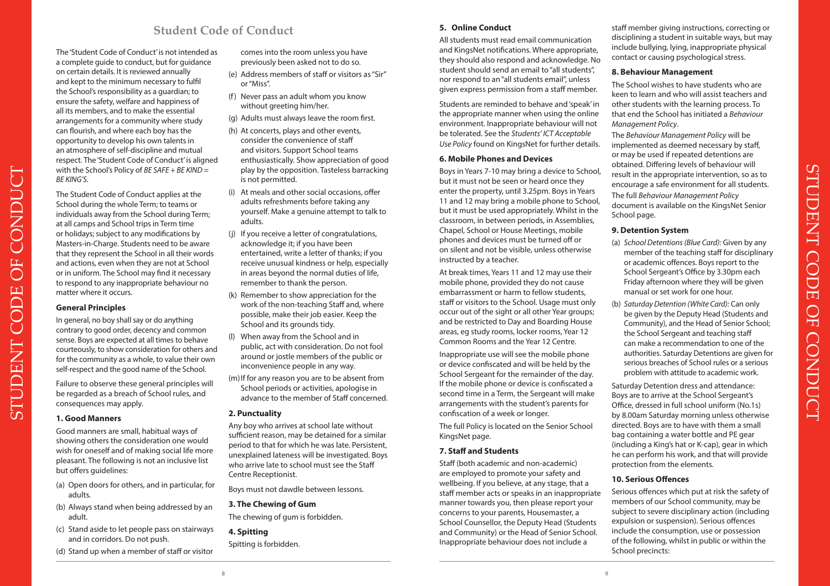## **Student Code of Conduct**

The 'Student Code of Conduct' is not intended as a complete guide to conduct, but for guidance on certain details. It is reviewed annually and kept to the minimum necessary to fulfil the School's responsibility as a guardian; to ensure the safety, welfare and happiness of all its members, and to make the essential arrangements for a community where study can flourish, and where each boy has the opportunity to develop his own talents in an atmosphere of self-discipline and mutual respect. The 'Student Code of Conduct' is aligned with the School's Policy of *BE SAFE + BE KIND = BE KING'S*.

The Student Code of Conduct applies at the School during the whole Term; to teams or individuals away from the School during Term; at all camps and School trips in Term time or holidays; subject to any modifications by Masters-in-Charge. Students need to be aware that they represent the School in all their words and actions, even when they are not at School or in uniform. The School may find it necessary to respond to any inappropriate behaviour no matter where it occurs.

#### **General Principles**

STUDENT CODE OF CONDUCT

CODE

**STUDENT** 

**DE** 

CONDUCT

In general, no boy shall say or do anything contrary to good order, decency and common sense. Boys are expected at all times to behave courteously, to show consideration for others and for the community as a whole, to value their own self-respect and the good name of the School.

Failure to observe these general principles will be regarded as a breach of School rules, and consequences may apply.

#### **1. Good Manners**

Good manners are small, habitual ways of showing others the consideration one would wish for oneself and of making social life more pleasant. The following is not an inclusive list but offers guidelines:

- (a) Open doors for others, and in particular, for adults.
- (b) Always stand when being addressed by an adult.
- (c) Stand aside to let people pass on stairways and in corridors. Do not push.
- (d) Stand up when a member of staff or visitor

comes into the room unless you have previously been asked not to do so.

- (e) Address members of staff or visitors as "Sir" or "Miss".
- (f) Never pass an adult whom you know without greeting him/her.
- (g) Adults must always leave the room first.
- (h) At concerts, plays and other events, consider the convenience of staff and visitors. Support School teams enthusiastically. Show appreciation of good play by the opposition. Tasteless barracking is not permitted.
- (i) At meals and other social occasions, offer adults refreshments before taking any yourself. Make a genuine attempt to talk to adults.
- (j) If you receive a letter of congratulations, acknowledge it; if you have been entertained, write a letter of thanks; if you receive unusual kindness or help, especially in areas beyond the normal duties of life, remember to thank the person.
- (k) Remember to show appreciation for the work of the non-teaching Staff and, where possible, make their job easier. Keep the School and its grounds tidy.
- (l) When away from the School and in public, act with consideration. Do not fool around or jostle members of the public or inconvenience people in any way.
- (m) If for any reason you are to be absent from School periods or activities, apologise in advance to the member of Staff concerned.

#### **2. Punctuality**

Any boy who arrives at school late without sufficient reason, may be detained for a similar period to that for which he was late. Persistent, unexplained lateness will be investigated. Boys who arrive late to school must see the Staff Centre Receptionist.

Boys must not dawdle between lessons.

#### **3. The Chewing of Gum**

The chewing of gum is forbidden.

#### **4. Spitting**

Spitting is forbidden.

#### **5. Online Conduct**

All students must read email communication and KingsNet notifications. Where appropriate, they should also respond and acknowledge. No student should send an email to "all students", nor respond to an "all students email", unless given express permission from a staff member.

Students are reminded to behave and 'speak' in the appropriate manner when using the online environment. Inappropriate behaviour will not be tolerated. See the *Students' ICT Acceptable Use Policy* found on KingsNet for further details.

#### **6. Mobile Phones and Devices**

Boys in Years 7-10 may bring a device to School, but it must not be seen or heard once they enter the property, until 3.25pm. Boys in Years 11 and 12 may bring a mobile phone to School but it must be used appropriately. Whilst in the classroom, in between periods, in Assemblies, Chapel, School or House Meetings, mobile phones and devices must be turned off or on silent and not be visible, unless otherwise instructed by a teacher.

At break times, Years 11 and 12 may use their mobile phone, provided they do not cause embarrassment or harm to fellow students, staff or visitors to the School. Usage must only occur out of the sight or all other Year groups; and be restricted to Day and Boarding House areas, eg study rooms, locker rooms, Year 12 Common Rooms and the Year 12 Centre.

Inappropriate use will see the mobile phone or device confiscated and will be held by the School Sergeant for the remainder of the day. If the mobile phone or device is confiscated a second time in a Term, the Sergeant will make arrangements with the student's parents for confiscation of a week or longer.

The full Policy is located on the Senior School KingsNet page.

#### **7. Staff and Students**

Staff (both academic and non-academic) are employed to promote your safety and wellbeing. If you believe, at any stage, that a staff member acts or speaks in an inappropriate manner towards you, then please report your concerns to your parents, Housemaster, a School Counsellor, the Deputy Head (Students and Community) or the Head of Senior School. Inappropriate behaviour does not include a

staff member giving instructions, correcting or disciplining a student in suitable ways, but may include bullying, lying, inappropriate physical contact or causing psychological stress.

#### **8. Behaviour Management**

The School wishes to have students who are keen to learn and who will assist teachers and other students with the learning process. To that end the School has initiated a *Behaviour Management Policy*.

The *Behaviour Management Policy* will be implemented as deemed necessary by staff, or may be used if repeated detentions are obtained. Differing levels of behaviour will result in the appropriate intervention, so as to encourage a safe environment for all students. The full *Behaviour Management Policy* document is available on the KingsNet Senior School page.

#### **9. Detention System**

- (a) *School Detentions (Blue Card):* Given by any member of the teaching staff for disciplinary or academic offences. Boys report to the School Sergeant's Office by 3.30pm each Friday afternoon where they will be given manual or set work for one hour.
- (b) *Saturday Detention (White Card):* Can only be given by the Deputy Head (Students and Community), and the Head of Senior School; the School Sergeant and teaching staff can make a recommendation to one of the authorities. Saturday Detentions are given for serious breaches of School rules or a serious problem with attitude to academic work.

Saturday Detention dress and attendance: Boys are to arrive at the School Sergeant's Office, dressed in full school uniform (No.1s) by 8.00am Saturday morning unless otherwise directed. Boys are to have with them a small bag containing a water bottle and PE gear (including a King's hat or K-cap), gear in which he can perform his work, and that will provide protection from the elements.

#### **10. Serious Offences**

Serious offences which put at risk the safety of members of our School community, may be subject to severe disciplinary action (including expulsion or suspension). Serious offences include the consumption, use or possession of the following, whilst in public or within the School precincts:

 $8$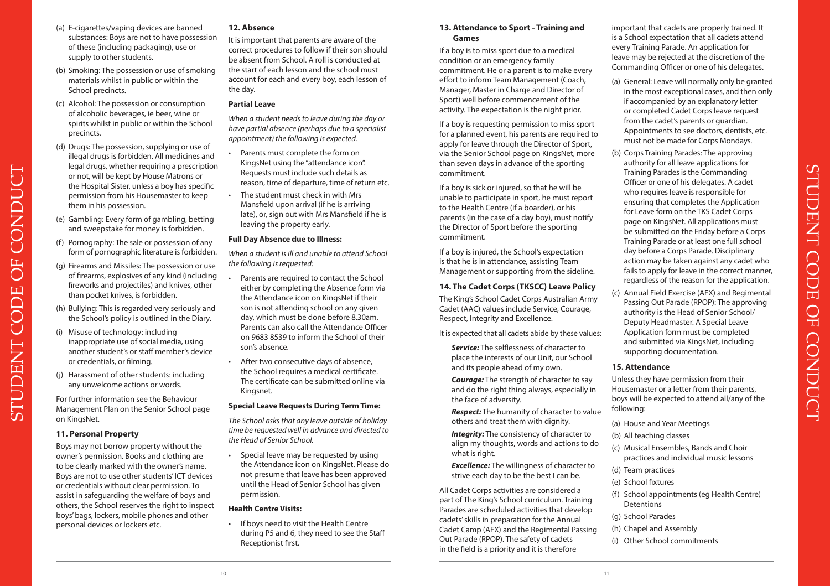**12. Absence**

the day.

**Partial Leave** 

It is important that parents are aware of the correct procedures to follow if their son should be absent from School. A roll is conducted at the start of each lesson and the school must account for each and every boy, each lesson of

*When a student needs to leave during the day or have partial absence (perhaps due to a specialist* 

*appointment) the following is expected.*  • Parents must complete the form on KingsNet using the "attendance icon".

Kingsnet.

#### **Special Leave Requests During Term Time:**

*The School asks that any leave outside of holiday time be requested well in advance and directed to the Head of Senior School.* 

• Special leave may be requested by using the Attendance icon on KingsNet. Please do not presume that leave has been approved until the Head of Senior School has given permission.

#### **Health Centre Visits:**

• If boys need to visit the Health Centre during P5 and 6, they need to see the Staff Receptionist first.

#### **13. Attendance to Sport - Training and Games**

If a boy is to miss sport due to a medical condition or an emergency family commitment. He or a parent is to make every effort to inform Team Management (Coach, Manager, Master in Charge and Director of Sport) well before commencement of the activity. The expectation is the night prior.

If a boy is requesting permission to miss sport for a planned event, his parents are required to apply for leave through the Director of Sport, via the Senior School page on KingsNet, more than seven days in advance of the sporting commitment.

If a boy is sick or injured, so that he will be unable to participate in sport, he must report to the Health Centre (if a boarder), or his parents (in the case of a day boy), must notify the Director of Sport before the sporting commitment.

If a boy is injured, the School's expectation is that he is in attendance, assisting Team Management or supporting from the sideline.

#### **14. The Cadet Corps (TKSCC) Leave Policy**

The King's School Cadet Corps Australian Army Cadet (AAC) values include Service, Courage, Respect, Integrity and Excellence.

It is expected that all cadets abide by these values:

 *Service:* The selflessness of character to place the interests of our Unit, our School and its people ahead of my own.

 *Courage:* The strength of character to say and do the right thing always, especially in the face of adversity.

 *Respect:* The humanity of character to value others and treat them with dignity.

 *Integrity:* The consistency of character to align my thoughts, words and actions to do what is right.

 *Excellence:* The willingness of character to strive each day to be the best I can be.

All Cadet Corps activities are considered a part of The King's School curriculum. Training Parades are scheduled activities that develop cadets' skills in preparation for the Annual Cadet Camp (AFX) and the Regimental Passing Out Parade (RPOP). The safety of cadets in the field is a priority and it is therefore

 $10$   $11$ 

important that cadets are properly trained. It is a School expectation that all cadets attend every Training Parade. An application for leave may be rejected at the discretion of the Commanding Officer or one of his delegates.

- (a) General: Leave will normally only be granted in the most exceptional cases, and then only if accompanied by an explanatory letter or completed Cadet Corps leave request from the cadet's parents or quardian. Appointments to see doctors, dentists, etc. must not be made for Corps Mondays.
- (b) Corps Training Parades: The approving authority for all leave applications for Training Parades is the Commanding Officer or one of his delegates. A cadet who requires leave is responsible for ensuring that completes the Application for Leave form on the TKS Cadet Corps page on KingsNet. All applications must be submitted on the Friday before a Corps Training Parade or at least one full school day before a Corps Parade. Disciplinary action may be taken against any cadet who fails to apply for leave in the correct manner, regardless of the reason for the application.
- (c) Annual Field Exercise (AFX) and Regimental Passing Out Parade (RPOP): The approving authority is the Head of Senior School/ Deputy Headmaster. A Special Leave Application form must be completed and submitted via KingsNet, including supporting documentation.

STUDENT CODE OF CONDUCT

 $Q<sub>H</sub>$ 

**CONDUCT** 

**CODE** 

**STUDENT** 

#### **15. Attendance**

Unless they have permission from their Housemaster or a letter from their parents, boys will be expected to attend all/any of the following:

- (a) House and Year Meetings
- (b) All teaching classes
- (c) Musical Ensembles, Bands and Choir practices and individual music lessons
- (d) Team practices
- (e) School fixtures
- (f) School appointments (eg Health Centre) **Detentions**
- (g) School Parades
- (h) Chapel and Assembly
- (i) Other School commitments

(a) E-cigarettes/vaping devices are banned substances: Boys are not to have possession of these (including packaging), use or supply to other students.

- (b) Smoking: The possession or use of smoking materials whilst in public or within the School precincts.
- (c) Alcohol: The possession or consumption of alcoholic beverages, ie beer, wine or spirits whilst in public or within the School precincts.
- (d) Drugs: The possession, supplying or use of illegal drugs is forbidden. All medicines and legal drugs, whether requiring a prescription or not, will be kept by House Matrons or the Hospital Sister, unless a boy has specific permission from his Housemaster to keep them in his possession.
- (e) Gambling: Every form of gambling, betting and sweepstake for money is forbidden.
- (f) Pornography: The sale or possession of any form of pornographic literature is forbidden.
- (g) Firearms and Missiles: The possession or use of firearms, explosives of any kind (including fireworks and projectiles) and knives, other than pocket knives, is forbidden.
- (h) Bullying: This is regarded very seriously and the School's policy is outlined in the Diary.
- (i) Misuse of technology: including inappropriate use of social media, using another student's or staff member's device or credentials, or filming.
- (j) Harassment of other students: including any unwelcome actions or words.

For further information see the Behaviour Management Plan on the Senior School page on KingsNet.

#### **11. Personal Property**

Boys may not borrow property without the owner's permission. Books and clothing are to be clearly marked with the owner's name. Boys are not to use other students' ICT devices or credentials without clear permission. To assist in safeguarding the welfare of boys and others, the School reserves the right to inspect boys' bags, lockers, mobile phones and other personal devices or lockers etc.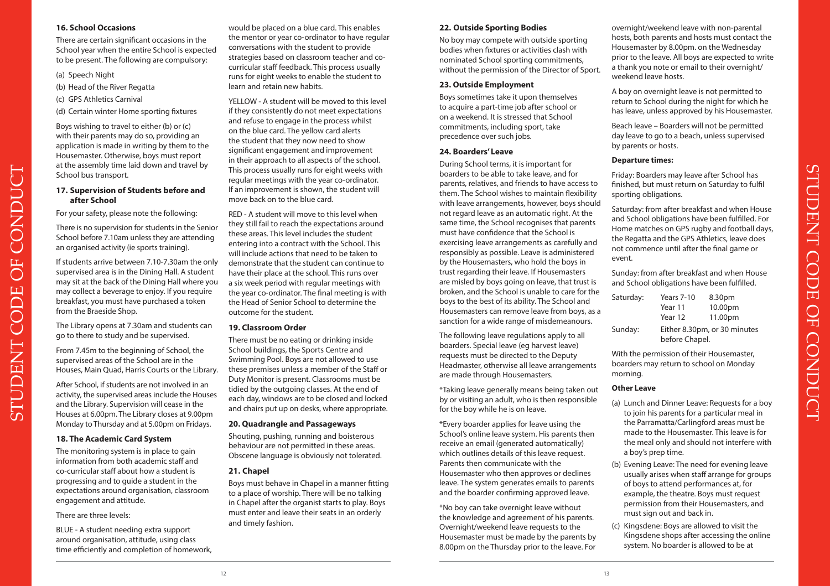#### **16. School Occasions**

There are certain significant occasions in the School year when the entire School is expected to be present. The following are compulsory:

(a) Speech Night

STUDENT CODE OF CONDUCT

CODE

**STUDENT** 

.<br>ل

CONDU

**DF** 

- (b) Head of the River Regatta
- (c) GPS Athletics Carnival
- (d) Certain winter Home sporting fixtures

Boys wishing to travel to either (b) or (c) with their parents may do so, providing an application is made in writing by them to the Housemaster. Otherwise, boys must report at the assembly time laid down and travel by School bus transport.

#### **17. Supervision of Students before and after School**

For your safety, please note the following:

There is no supervision for students in the Senior School before 7.10am unless they are attending an organised activity (ie sports training).

If students arrive between 7.10-7.30am the only supervised area is in the Dining Hall. A student may sit at the back of the Dining Hall where you may collect a beverage to enjoy. If you require breakfast, you must have purchased a token from the Braeside Shop.

The Library opens at 7.30am and students can go to there to study and be supervised.

From 7.45m to the beginning of School, the supervised areas of the School are in the Houses, Main Quad, Harris Courts or the Library.

After School, if students are not involved in an activity, the supervised areas include the Houses and the Library. Supervision will cease in the Houses at 6.00pm. The Library closes at 9.00pm Monday to Thursday and at 5.00pm on Fridays.

#### **18. The Academic Card System**

The monitoring system is in place to gain information from both academic staff and co-curricular staff about how a student is progressing and to guide a student in the expectations around organisation, classroom engagement and attitude.

#### There are three levels:

BLUE - A student needing extra support around organisation, attitude, using class time efficiently and completion of homework,

would be placed on a blue card. This enables the mentor or year co-ordinator to have regular conversations with the student to provide strategies based on classroom teacher and cocurricular staff feedback. This process usually runs for eight weeks to enable the student to learn and retain new habits.

YELLOW - A student will be moved to this level if they consistently do not meet expectations and refuse to engage in the process whilst on the blue card. The yellow card alerts the student that they now need to show significant engagement and improvement in their approach to all aspects of the school. This process usually runs for eight weeks with regular meetings with the year co-ordinator. If an improvement is shown, the student will move back on to the blue card.

RED - A student will move to this level when they still fail to reach the expectations around these areas. This level includes the student entering into a contract with the School. This will include actions that need to be taken to demonstrate that the student can continue to have their place at the school. This runs over a six week period with regular meetings with the year co-ordinator. The final meeting is with the Head of Senior School to determine the outcome for the student.

#### **19. Classroom Order**

There must be no eating or drinking inside School buildings, the Sports Centre and Swimming Pool. Boys are not allowed to use these premises unless a member of the Staff or Duty Monitor is present. Classrooms must be tidied by the outgoing classes. At the end of each day, windows are to be closed and locked and chairs put up on desks, where appropriate.

#### **20. Quadrangle and Passageways**

Shouting, pushing, running and boisterous behaviour are not permitted in these areas. Obscene language is obviously not tolerated.

#### **21. Chapel**

Boys must behave in Chapel in a manner fitting to a place of worship. There will be no talking in Chapel after the organist starts to play. Boys must enter and leave their seats in an orderly and timely fashion.

#### **22. Outside Sporting Bodies**

No boy may compete with outside sporting bodies when fixtures or activities clash with nominated School sporting commitments, without the permission of the Director of Sport.

#### **23. Outside Employment**

Boys sometimes take it upon themselves to acquire a part-time job after school or on a weekend. It is stressed that School commitments, including sport, take precedence over such jobs.

#### **24. Boarders' Leave**

During School terms, it is important for boarders to be able to take leave, and for parents, relatives, and friends to have access to them. The School wishes to maintain flexibility with leave arrangements, however, boys should not regard leave as an automatic right. At the same time, the School recognises that parents must have confidence that the School is exercising leave arrangements as carefully and responsibly as possible. Leave is administered by the Housemasters, who hold the boys in trust regarding their leave. If Housemasters are misled by boys going on leave, that trust is broken, and the School is unable to care for the boys to the best of its ability. The School and Housemasters can remove leave from boys, as a sanction for a wide range of misdemeanours.

The following leave regulations apply to all boarders. Special leave (eg harvest leave) requests must be directed to the Deputy Headmaster, otherwise all leave arrangements are made through Housemasters.

\*Taking leave generally means being taken out by or visiting an adult, who is then responsible for the boy while he is on leave.

\*Every boarder applies for leave using the School's online leave system. His parents then receive an email (generated automatically) which outlines details of this leave request. Parents then communicate with the Housemaster who then approves or declines leave. The system generates emails to parents and the boarder confirming approved leave.

\*No boy can take overnight leave without the knowledge and agreement of his parents. Overnight/weekend leave requests to the Housemaster must be made by the parents by 8.00pm on the Thursday prior to the leave. For

overnight/weekend leave with non-parental hosts, both parents and hosts must contact the Housemaster by 8.00pm. on the Wednesday prior to the leave. All boys are expected to write a thank you note or email to their overnight/ weekend leave hosts.

A boy on overnight leave is not permitted to return to School during the night for which he has leave, unless approved by his Housemaster.

Beach leave – Boarders will not be permitted day leave to go to a beach, unless supervised by parents or hosts.

#### **Departure times:**

Friday: Boarders may leave after School has finished, but must return on Saturday to fulfil sporting obligations.

Saturday: from after breakfast and when House and School obligations have been fulfilled. For Home matches on GPS rugby and football days, the Regatta and the GPS Athletics, leave does not commence until after the final game or event.

Sunday: from after breakfast and when House and School obligations have been fulfilled.

| Saturday: | Years 7-10                                     | 8.30pm  |
|-----------|------------------------------------------------|---------|
|           | Year 11                                        | 10.00pm |
|           | Year 12                                        | 11.00pm |
| Sunday:   | Either 8.30pm, or 30 minutes<br>before Chapel. |         |

With the permission of their Housemaster, boarders may return to school on Monday morning.

#### **Other Leave**

- (a) Lunch and Dinner Leave: Requests for a boy to join his parents for a particular meal in the Parramatta/Carlingford areas must be made to the Housemaster. This leave is for the meal only and should not interfere with a boy's prep time.
- (b) Evening Leave: The need for evening leave usually arises when staff arrange for groups of boys to attend performances at, for example, the theatre. Boys must request permission from their Housemasters, and must sign out and back in.
- (c) Kingsdene: Boys are allowed to visit the Kingsdene shops after accessing the online system. No boarder is allowed to be at

STUDENT CODE OF CONDUCT

 $Q<sub>H</sub>$ 

**CONDUCT** 

STUDENT CODE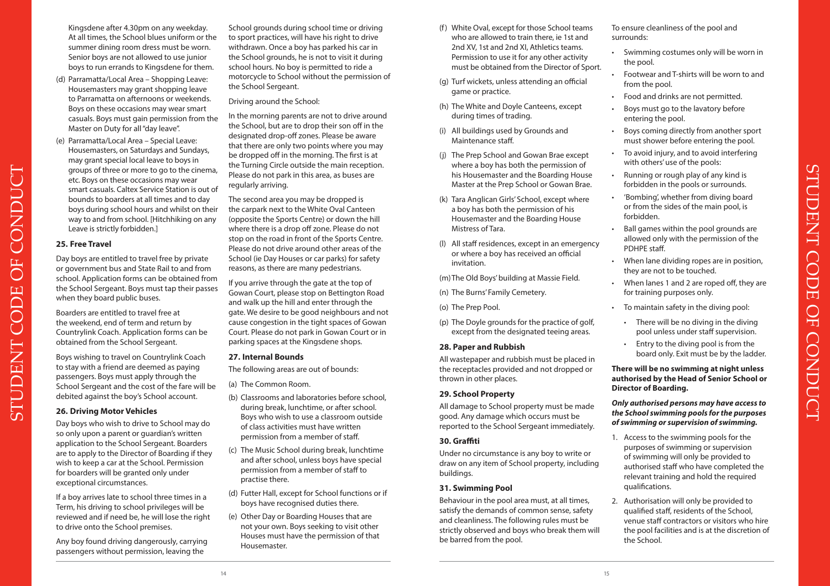Kingsdene after 4.30pm on any weekday. At all times, the School blues uniform or the summer dining room dress must be worn. Senior boys are not allowed to use junior boys to run errands to Kingsdene for them.

- (d) Parramatta/Local Area Shopping Leave: Housemasters may grant shopping leave to Parramatta on afternoons or weekends. Boys on these occasions may wear smart casuals. Boys must gain permission from the Master on Duty for all "day leave".
- (e) Parramatta/Local Area Special Leave: Housemasters, on Saturdays and Sundays, may grant special local leave to boys in groups of three or more to go to the cinema, etc. Boys on these occasions may wear smart casuals. Caltex Service Station is out of bounds to boarders at all times and to day boys during school hours and whilst on their way to and from school. [Hitchhiking on any Leave is strictly forbidden.]

#### **25. Free Travel**

Day boys are entitled to travel free by private or government bus and State Rail to and from school. Application forms can be obtained from the School Sergeant. Boys must tap their passes when they board public buses.

Boarders are entitled to travel free at the weekend, end of term and return by Countrylink Coach. Application forms can be obtained from the School Sergeant.

Boys wishing to travel on Countrylink Coach to stay with a friend are deemed as paying passengers. Boys must apply through the School Sergeant and the cost of the fare will be debited against the boy's School account.

#### **26. Driving Motor Vehicles**

Day boys who wish to drive to School may do so only upon a parent or guardian's written application to the School Sergeant. Boarders are to apply to the Director of Boarding if they wish to keep a car at the School. Permission for boarders will be granted only under exceptional circumstances.

If a boy arrives late to school three times in a Term, his driving to school privileges will be reviewed and if need be, he will lose the right to drive onto the School premises.

Any boy found driving dangerously, carrying passengers without permission, leaving the

School grounds during school time or driving to sport practices, will have his right to drive withdrawn. Once a boy has parked his car in the School grounds, he is not to visit it during school hours. No boy is permitted to ride a motorcycle to School without the permission of the School Sergeant.

#### Driving around the School:

In the morning parents are not to drive around the School, but are to drop their son off in the designated drop-off zones. Please be aware that there are only two points where you may be dropped off in the morning. The first is at the Turning Circle outside the main reception. Please do not park in this area, as buses are regularly arriving.

The second area you may be dropped is the carpark next to the White Oval Canteen (opposite the Sports Centre) or down the hill where there is a drop off zone. Please do not stop on the road in front of the Sports Centre. Please do not drive around other areas of the School (ie Day Houses or car parks) for safety reasons, as there are many pedestrians.

If you arrive through the gate at the top of Gowan Court, please stop on Bettington Road and walk up the hill and enter through the gate. We desire to be good neighbours and not cause congestion in the tight spaces of Gowan Court. Please do not park in Gowan Court or in parking spaces at the Kingsdene shops.

#### **27. Internal Bounds**

The following areas are out of bounds:

(a) The Common Room.

- (b) Classrooms and laboratories before school, during break, lunchtime, or after school. Boys who wish to use a classroom outside of class activities must have written permission from a member of staff.
- (c) The Music School during break, lunchtime and after school, unless boys have special permission from a member of staff to practise there.
- (d) Futter Hall, except for School functions or if boys have recognised duties there.
- (e) Other Day or Boarding Houses that are not your own. Boys seeking to visit other Houses must have the permission of that Housemaster.
- (f) White Oval, except for those School teams who are allowed to train there, ie 1st and 2nd XV, 1st and 2nd XI, Athletics teams. Permission to use it for any other activity must be obtained from the Director of Sport.
- (g) Turf wickets, unless attending an official game or practice.
- (h) The White and Doyle Canteens, except during times of trading.
- (i) All buildings used by Grounds and Maintenance staff.
- (j) The Prep School and Gowan Brae except where a boy has both the permission of his Housemaster and the Boarding House Master at the Prep School or Gowan Brae.
- (k) Tara Anglican Girls' School, except where a boy has both the permission of his Housemaster and the Boarding House Mistress of Tara.
- (l) All staff residences, except in an emergency or where a boy has received an official invitation.

(m) The Old Boys' building at Massie Field.

- (n) The Burns' Family Cemetery.
- (o) The Prep Pool.
- (p) The Doyle grounds for the practice of golf, except from the designated teeing areas.

#### **28. Paper and Rubbish**

All wastepaper and rubbish must be placed in the receptacles provided and not dropped or thrown in other places.

#### **29. School Property**

All damage to School property must be made good. Any damage which occurs must be reported to the School Sergeant immediately.

#### **30. Graffiti**

Under no circumstance is any boy to write or draw on any item of School property, including buildings.

#### **31. Swimming Pool**

Behaviour in the pool area must, at all times, satisfy the demands of common sense, safety and cleanliness. The following rules must be strictly observed and boys who break them will be barred from the pool.

To ensure cleanliness of the pool and surrounds:

- Swimming costumes only will be worn in the pool.
- Footwear and T-shirts will be worn to and from the pool.
- Food and drinks are not permitted.
- Boys must go to the lavatory before entering the pool.
- Boys coming directly from another sport must shower before entering the pool.
- To avoid injury, and to avoid interfering with others' use of the pools:
- Running or rough play of any kind is forbidden in the pools or surrounds.
- 'Bombing', whether from diving board or from the sides of the main pool, is forbidden.
- Ball games within the pool grounds are allowed only with the permission of the PDHPE staff.
- When lane dividing ropes are in position, they are not to be touched.
- When lanes 1 and 2 are roped off, they are for training purposes only.

STUDENT CODE OF CONDUCT

 $Q<sub>H</sub>$ 

**CONDUCT** 

**CODE** 

**STUDENT** 

- To maintain safety in the diving pool:
	- There will be no diving in the diving pool unless under staff supervision.
	- Entry to the diving pool is from the board only. Exit must be by the ladder.

**There will be no swimming at night unless authorised by the Head of Senior School or Director of Boarding.** 

#### *Only authorised persons may have access to the School swimming pools for the purposes of swimming or supervision of swimming.*

- 1. Access to the swimming pools for the purposes of swimming or supervision of swimming will only be provided to authorised staff who have completed the relevant training and hold the required qualifications.
- 2. Authorisation will only be provided to qualified staff, residents of the School, venue staff contractors or visitors who hire the pool facilities and is at the discretion of the School.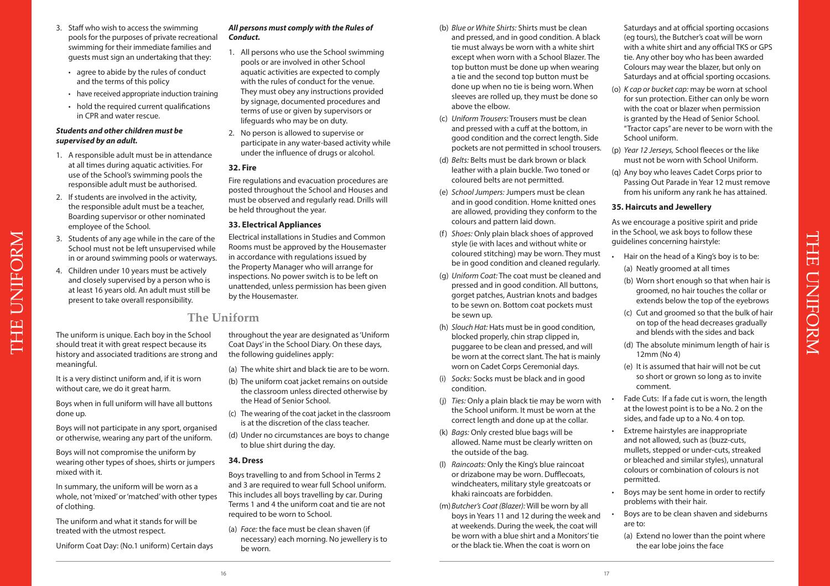- 3. Staff who wish to access the swimming pools for the purposes of private recreational swimming for their immediate families and guests must sign an undertaking that they:
	- agree to abide by the rules of conduct and the terms of this policy
	- have received appropriate induction training • hold the required current qualifications in CPR and water rescue.

#### *Students and other children must be supervised by an adult.*

- 1. A responsible adult must be in attendance at all times during aquatic activities. For use of the School's swimming pools the responsible adult must be authorised.
- 2. If students are involved in the activity, the responsible adult must be a teacher, Boarding supervisor or other nominated employee of the School.
- 3. Students of any age while in the care of the School must not be left unsupervised while in or around swimming pools or waterways.
- 4. Children under 10 years must be actively and closely supervised by a person who is at least 16 years old. An adult must still be present to take overall responsibility.

should treat it with great respect because its

It is a very distinct uniform and, if it is worn

Boys when in full uniform will have all buttons

Boys will not participate in any sport, organised or otherwise, wearing any part of the uniform. Boys will not compromise the uniform by wearing other types of shoes, shirts or jumpers

In summary, the uniform will be worn as a whole, not 'mixed' or 'matched' with other types

The uniform and what it stands for will be

Uniform Coat Day: (No.1 uniform) Certain days

treated with the utmost respect.

without care, we do it great harm.

meaningful.

done up.

mixed with it.

of clothing.

#### *All persons must comply with the Rules of Conduct.*

- 1. All persons who use the School swimming pools or are involved in other School aquatic activities are expected to comply with the rules of conduct for the venue. They must obey any instructions provided by signage, documented procedures and terms of use or given by supervisors or lifeguards who may be on duty.
- 2. No person is allowed to supervise or participate in any water-based activity while under the influence of drugs or alcohol.

#### **32. Fire**

Fire regulations and evacuation procedures are posted throughout the School and Houses and must be observed and regularly read. Drills will be held throughout the year.

#### **33. Electrical Appliances**

Electrical installations in Studies and Common Rooms must be approved by the Housemaster in accordance with regulations issued by the Property Manager who will arrange for inspections. No power switch is to be left on unattended, unless permission has been given by the Housemaster.

## **The Uniform**

The uniform is unique. Each boy in the School history and associated traditions are strong and throughout the year are designated as 'Uniform Coat Days' in the School Diary. On these days, the following guidelines apply:

- (a) The white shirt and black tie are to be worn.
- (b) The uniform coat jacket remains on outside the classroom unless directed otherwise by the Head of Senior School.
- (c) The wearing of the coat jacket in the classroom is at the discretion of the class teacher.
- (d) Under no circumstances are boys to change to blue shirt during the day.

#### **34. Dress**

Boys travelling to and from School in Terms 2 and 3 are required to wear full School uniform. This includes all boys travelling by car. During Terms 1 and 4 the uniform coat and tie are not required to be worn to School.

(a) *Face:* the face must be clean shaven (if necessary) each morning. No jewellery is to be worn.

- (b) *Blue or White Shirts:* Shirts must be clean and pressed, and in good condition. A black tie must always be worn with a white shirt except when worn with a School Blazer. The top button must be done up when wearing a tie and the second top button must be done up when no tie is being worn. When sleeves are rolled up, they must be done so above the elbow.
- (c) *Uniform Trousers:* Trousers must be clean and pressed with a cuff at the bottom, in good condition and the correct length. Side pockets are not permitted in school trousers.
- (d) *Belts:* Belts must be dark brown or black leather with a plain buckle. Two toned or coloured belts are not permitted.
- (e) *School Jumpers:* Jumpers must be clean and in good condition. Home knitted ones are allowed, providing they conform to the colours and pattern laid down.
- (f) *Shoes:* Only plain black shoes of approved style (ie with laces and without white or coloured stitching) may be worn. They must be in good condition and cleaned regularly.
- (g) *Uniform Coat:* The coat must be cleaned and pressed and in good condition. All buttons, gorget patches, Austrian knots and badges to be sewn on. Bottom coat pockets must be sewn up.
- (h) *Slouch Hat:* Hats must be in good condition, blocked properly, chin strap clipped in, puggaree to be clean and pressed, and will be worn at the correct slant. The hat is mainly worn on Cadet Corps Ceremonial days.
- (i) *Socks:* Socks must be black and in good condition.
- (j) *Ties:* Only a plain black tie may be worn with the School uniform. It must be worn at the correct length and done up at the collar.
- (k) *Bags:* Only crested blue bags will be allowed. Name must be clearly written on the outside of the bag.
- (l) *Raincoats:* Only the King's blue raincoat or drizabone may be worn. Dufflecoats, windcheaters, military style greatcoats or khaki raincoats are forbidden.
- (m) *Butcher's Coat (Blazer):* Will be worn by all boys in Years 11 and 12 during the week and at weekends. During the week, the coat will be worn with a blue shirt and a Monitors' tie or the black tie. When the coat is worn on

Saturdays and at official sporting occasions (eg tours), the Butcher's coat will be worn with a white shirt and any official TKS or GPS tie. Any other boy who has been awarded Colours may wear the blazer, but only on Saturdays and at official sporting occasions.

- (o) *K cap or bucket cap:* may be worn at school for sun protection. Either can only be worn with the coat or blazer when permission is granted by the Head of Senior School. "Tractor caps" are never to be worn with the School uniform.
- (p) *Year 12 Jerseys,* School fleeces or the like must not be worn with School Uniform.
- (q) Any boy who leaves Cadet Corps prior to Passing Out Parade in Year 12 must remove from his uniform any rank he has attained.

#### **35. Haircuts and Jewellery**

As we encourage a positive spirit and pride in the School, we ask boys to follow these guidelines concerning hairstyle:

- Hair on the head of a King's boy is to be: (a) Neatly groomed at all times
- (b) Worn short enough so that when hair is groomed, no hair touches the collar or extends below the top of the eyebrows

THE UNIFORM

**UNIFORM** 

**ENSID** 

- (c) Cut and groomed so that the bulk of hair on top of the head decreases gradually and blends with the sides and back
- (d) The absolute minimum length of hair is 12mm (No 4)
- (e) It is assumed that hair will not be cut so short or grown so long as to invite comment.
- Fade Cuts: If a fade cut is worn, the length at the lowest point is to be a No. 2 on the sides, and fade up to a No. 4 on top.
- Extreme hairstyles are inappropriate and not allowed, such as (buzz-cuts, mullets, stepped or under-cuts, streaked or bleached and similar styles), unnatural colours or combination of colours is not permitted.
- Boys may be sent home in order to rectify problems with their hair.
- Boys are to be clean shaven and sideburns are to:
- (a) Extend no lower than the point where the ear lobe joins the face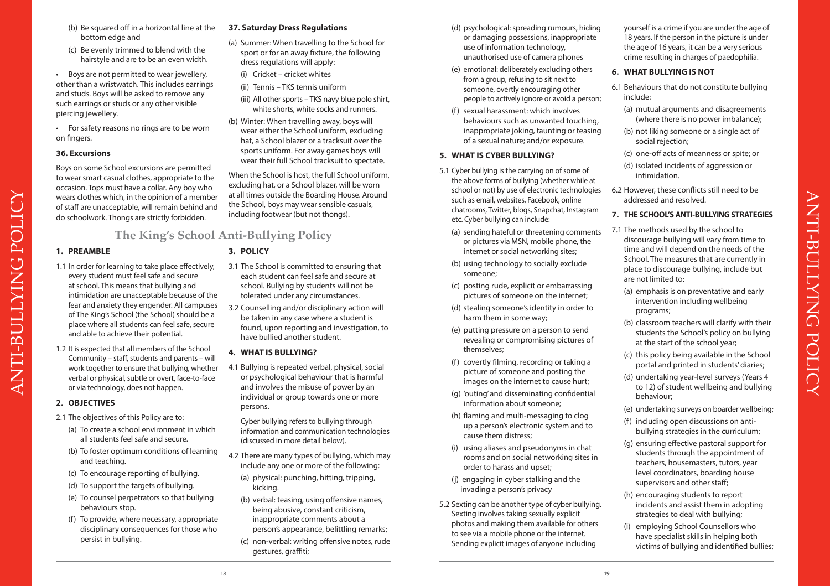- (b) Be squared off in a horizontal line at the bottom edge and
- (c) Be evenly trimmed to blend with the hairstyle and are to be an even width.
- Boys are not permitted to wear jewellery, other than a wristwatch. This includes earrings and studs. Boys will be asked to remove any such earrings or studs or any other visible piercing jewellery.
- For safety reasons no rings are to be worn on fingers.

#### **36. Excursions**

Boys on some School excursions are permitted to wear smart casual clothes, appropriate to the occasion. Tops must have a collar. Any boy who wears clothes which, in the opinion of a member of staff are unacceptable, will remain behind and do schoolwork. Thongs are strictly forbidden.

## **The King's School Anti-Bullying Policy**

#### **1. PREAMBLE**

- 1.1 In order for learning to take place effectively, every student must feel safe and secure at school. This means that bullying and intimidation are unacceptable because of the fear and anxiety they engender. All campuses of The King's School (the School) should be a place where all students can feel safe, secure and able to achieve their potential.
- 1.2 It is expected that all members of the School Community – staff, students and parents – will work together to ensure that bullying, whether verbal or physical, subtle or overt, face-to-face or via technology, does not happen.

#### **2. OBJECTIVES**

- 2.1 The objectives of this Policy are to:
	- (a) To create a school environment in which all students feel safe and secure.
	- (b) To foster optimum conditions of learning and teaching.
	- (c) To encourage reporting of bullying.
	- (d) To support the targets of bullying.
	- (e) To counsel perpetrators so that bullying behaviours stop.
	- (f) To provide, where necessary, appropriate disciplinary consequences for those who persist in bullying.

#### **37. Saturday Dress Regulations**

- (a) Summer: When travelling to the School for sport or for an away fixture, the following dress regulations will apply:
- (i) Cricket cricket whites
- (ii) Tennis TKS tennis uniform
- (iii) All other sports TKS navy blue polo shirt, white shorts, white socks and runners.
- (b) Winter: When travelling away, boys will wear either the School uniform, excluding hat, a School blazer or a tracksuit over the sports uniform. For away games boys will wear their full School tracksuit to spectate.

When the School is host, the full School uniform, excluding hat, or a School blazer, will be worn at all times outside the Boarding House. Around the School, boys may wear sensible casuals, including footwear (but not thongs).

#### **3. POLICY**

- 3.1 The School is committed to ensuring that each student can feel safe and secure at school. Bullying by students will not be tolerated under any circumstances.
- 3.2 Counselling and/or disciplinary action will be taken in any case where a student is found, upon reporting and investigation, to have bullied another student.

#### **4. WHAT IS BULLYING?**

4.1 Bullying is repeated verbal, physical, social or psychological behaviour that is harmful and involves the misuse of power by an individual or group towards one or more persons.

 Cyber bullying refers to bullying through information and communication technologies (discussed in more detail below).

- 4.2 There are many types of bullying, which may include any one or more of the following:
	- (a) physical: punching, hitting, tripping, kicking.
	- (b) verbal: teasing, using offensive names, being abusive, constant criticism, inappropriate comments about a person's appearance, belittling remarks;
	- (c) non-verbal: writing offensive notes, rude gestures, graffiti;
- (d) psychological: spreading rumours, hiding or damaging possessions, inappropriate use of information technology, unauthorised use of camera phones
- (e) emotional: deliberately excluding others from a group, refusing to sit next to someone, overtly encouraging other people to actively ignore or avoid a person;
- (f) sexual harassment: which involves behaviours such as unwanted touching, inappropriate joking, taunting or teasing of a sexual nature; and/or exposure.

#### **5. WHAT IS CYBER BULLYING?**

- 5.1 Cyber bullying is the carrying on of some of the above forms of bullying (whether while at school or not) by use of electronic technologies such as email, websites, Facebook, online chatrooms, Twitter, blogs, Snapchat, Instagram etc. Cyber bullying can include:
	- (a) sending hateful or threatening comments or pictures via MSN, mobile phone, the internet or social networking sites;
	- (b) using technology to socially exclude someone;
	- (c) posting rude, explicit or embarrassing pictures of someone on the internet;
	- (d) stealing someone's identity in order to harm them in some way;
	- (e) putting pressure on a person to send revealing or compromising pictures of themselves;
	- (f) covertly filming, recording or taking a picture of someone and posting the images on the internet to cause hurt;
	- (g) 'outing' and disseminating confidential information about someone;
	- (h) flaming and multi-messaging to clog up a person's electronic system and to cause them distress;
	- (i) using aliases and pseudonyms in chat rooms and on social networking sites in order to harass and upset;
	- (j) engaging in cyber stalking and the invading a person's privacy
- 5.2 Sexting can be another type of cyber bullying. Sexting involves taking sexually explicit photos and making them available for others to see via a mobile phone or the internet. Sending explicit images of anyone including

yourself is a crime if you are under the age of 18 years. If the person in the picture is under the age of 16 years, it can be a very serious crime resulting in charges of paedophilia.

#### **6. WHAT BULLYING IS NOT**

- 6.1 Behaviours that do not constitute bullying include:
	- (a) mutual arguments and disagreements (where there is no power imbalance);
	- (b) not liking someone or a single act of social rejection;
	- (c) one-off acts of meanness or spite; or
	- (d) isolated incidents of aggression or intimidation.
- 6.2 However, these conflicts still need to be addressed and resolved.

#### **7. THE SCHOOL'S ANTI-BULLYING STRATEGIES**

- 7.1 The methods used by the school to discourage bullying will vary from time to time and will depend on the needs of the School. The measures that are currently in place to discourage bullying, include but are not limited to:
	- (a) emphasis is on preventative and early intervention including wellbeing programs;

 $\overline{\phantom{a}}$ 

ANTI-BULLYING POLICY

POLICY

**ANTI-BULLYING** 

- (b) classroom teachers will clarify with their students the School's policy on bullying at the start of the school year;
- (c) this policy being available in the School portal and printed in students' diaries;
- (d) undertaking year-level surveys (Years 4 to 12) of student wellbeing and bullying behaviour;
- (e) undertaking surveys on boarder wellbeing;
- (f) including open discussions on antibullying strategies in the curriculum;
- (g) ensuring effective pastoral support for students through the appointment of teachers, housemasters, tutors, year level coordinators, boarding house supervisors and other staff;
- (h) encouraging students to report incidents and assist them in adopting strategies to deal with bullying;
- (i) employing School Counsellors who have specialist skills in helping both victims of bullying and identified bullies;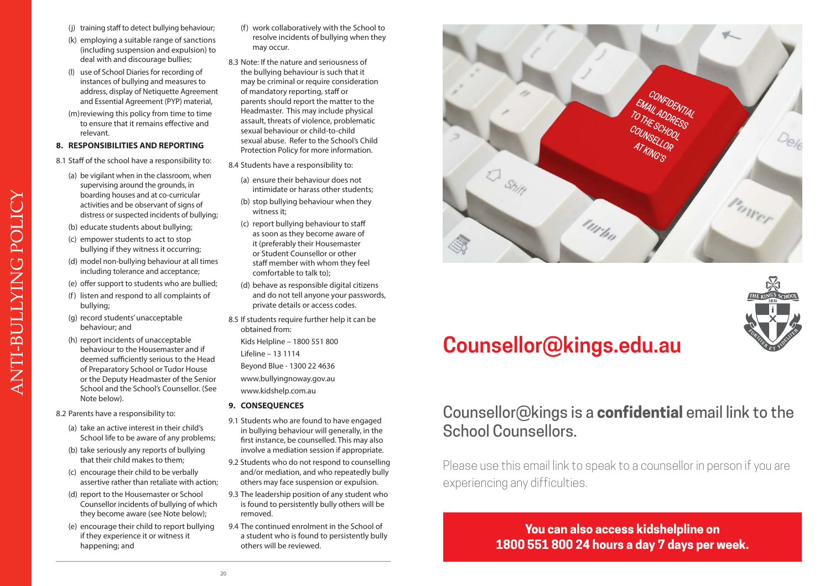- (j) training staff to detect bullying behaviour;
- (k) employing a suitable range of sanctions (including suspension and expulsion) to deal with and discourage bullies;
- (l) use of School Diaries for recording of instances of bullying and measures to address, display of Netiquette Agreement and Essential Agreement (PYP) material,
- (m) reviewing this policy from time to time to ensure that it remains effective and relevant.

#### **8. RESPONSIBILITIES AND REPORTING**

- 8.1 Staff of the school have a responsibility to:
	- (a) be vigilant when in the classroom, when supervising around the grounds, in boarding houses and at co-curricular activities and be observant of signs of distress or suspected incidents of bullying;
	- (b) educate students about bullying;
	- (c) empower students to act to stop bullying if they witness it occurring;
	- (d) model non-bullying behaviour at all times including tolerance and acceptance;
	- (e) offer support to students who are bullied;
	- (f) listen and respond to all complaints of bullying;
	- (g) record students' unacceptable behaviour; and

ANTI-BULLYING POLICY

ANTI-BULLYING POLICY

- (h) report incidents of unacceptable behaviour to the Housemaster and if deemed sufficiently serious to the Head of Preparatory School or Tudor House or the Deputy Headmaster of the Senior School and the School's Counsellor. (See Note below).
- 8.2 Parents have a responsibility to:
	- (a) take an active interest in their child's School life to be aware of any problems;
	- (b) take seriously any reports of bullying that their child makes to them;
	- (c) encourage their child to be verbally assertive rather than retaliate with action;
	- (d) report to the Housemaster or School Counsellor incidents of bullying of which they become aware (see Note below);
	- (e) encourage their child to report bullying if they experience it or witness it happening; and
- (f) work collaboratively with the School to resolve incidents of bullying when they may occur.
- 8.3 Note: If the nature and seriousness of the bullying behaviour is such that it may be criminal or require consideration of mandatory reporting, staff or parents should report the matter to the Headmaster. This may include physical assault, threats of violence, problematic sexual behaviour or child-to-child sexual abuse. Refer to the School's Child Protection Policy for more information.
- 8.4 Students have a responsibility to:
	- (a) ensure their behaviour does not intimidate or harass other students;
	- (b) stop bullying behaviour when they witness it;
	- (c) report bullying behaviour to staff as soon as they become aware of it (preferably their Housemaster or Student Counsellor or other staff member with whom they feel comfortable to talk to);
	- (d) behave as responsible digital citizens and do not tell anyone your passwords, private details or access codes.
- 8.5 If students require further help it can be obtained from:
	- Kids Helpline 1800 551 800
	- Lifeline 13 1114
	- Beyond Blue 1300 22 4636

www.bullyingnoway.gov.au

www.kidshelp.com.au

- **9. CONSEQUENCES**
- 9.1 Students who are found to have engaged in bullying behaviour will generally, in the first instance, be counselled. This may also involve a mediation session if appropriate.
- 9.2 Students who do not respond to counselling and/or mediation, and who repeatedly bully others may face suspension or expulsion.
- 9.3 The leadership position of any student who is found to persistently bully others will be removed.
- 9.4 The continued enrolment in the School of a student who is found to persistently bully others will be reviewed.





# **Counsellor@kings.edu.au**

## Counsellor@kings is a **confidential** email link to the School Counsellors.

Please use this email link to speak to a counsellor in person if you are experiencing any difficulties.

> **You can also access kidshelpline on 1800 551 800 24 hours a day 7 days per week.**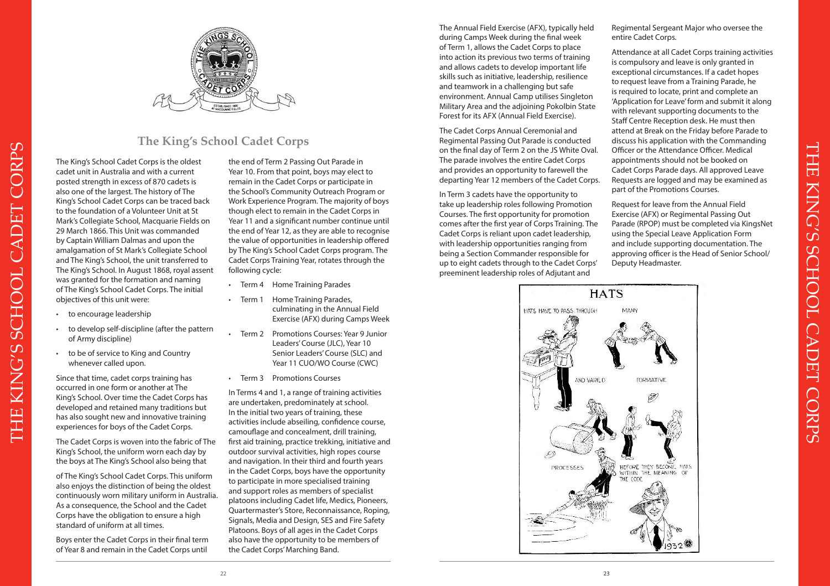

## **The King's School Cadet Corps**

The King's School Cadet Corps is the oldest cadet unit in Australia and with a current posted strength in excess of 870 cadets is also one of the largest. The history of The King's School Cadet Corps can be traced back to the foundation of a Volunteer Unit at St Mark's Collegiate School, Macquarie Fields on 29 March 1866. This Unit was commanded by Captain William Dalmas and upon the amalgamation of St Mark's Collegiate School and The King's School, the unit transferred to The King's School. In August 1868, royal assent was granted for the formation and naming of The King's School Cadet Corps. The initial objectives of this unit were:

- to encourage leadership
- to develop self-discipline (after the pattern of Army discipline)
- to be of service to King and Country whenever called upon.

Since that time, cadet corps training has occurred in one form or another at The King's School. Over time the Cadet Corps has developed and retained many traditions but has also sought new and innovative training experiences for boys of the Cadet Corps.

The Cadet Corps is woven into the fabric of The King's School, the uniform worn each day by the boys at The King's School also being that

of The King's School Cadet Corps. This uniform also enjoys the distinction of being the oldest continuously worn military uniform in Australia. As a consequence, the School and the Cadet Corps have the obligation to ensure a high standard of uniform at all times.

Boys enter the Cadet Corps in their final term of Year 8 and remain in the Cadet Corps until

the end of Term 2 Passing Out Parade in Year 10. From that point, boys may elect to remain in the Cadet Corps or participate in the School's Community Outreach Program or Work Experience Program. The majority of boys though elect to remain in the Cadet Corps in Year 11 and a significant number continue until the end of Year 12, as they are able to recognise the value of opportunities in leadership offered by The King's School Cadet Corps program. The Cadet Corps Training Year, rotates through the following cycle:

- Term 4 Home Training Parades
- Term 1 Home Training Parades, culminating in the Annual Field Exercise (AFX) during Camps Week
- Term 2 Promotions Courses: Year 9 Junior Leaders' Course (JLC), Year 10 Senior Leaders' Course (SLC) and Year 11 CUO/WO Course (CWC)
- Term 3 Promotions Courses

In Terms 4 and 1, a range of training activities are undertaken, predominately at school. In the initial two years of training, these activities include abseiling, confidence course, camouflage and concealment, drill training, first aid training, practice trekking, initiative and outdoor survival activities, high ropes course and navigation. In their third and fourth years in the Cadet Corps, boys have the opportunity to participate in more specialised training and support roles as members of specialist platoons including Cadet life, Medics, Pioneers, Quartermaster's Store, Reconnaissance, Roping, Signals, Media and Design, SES and Fire Safety Platoons. Boys of all ages in the Cadet Corps also have the opportunity to be members of the Cadet Corps' Marching Band.

The Annual Field Exercise (AFX), typically held during Camps Week during the final week of Term 1, allows the Cadet Corps to place into action its previous two terms of training and allows cadets to develop important life skills such as initiative, leadership, resilience and teamwork in a challenging but safe environment. Annual Camp utilises Singleton Military Area and the adjoining Pokolbin State Forest for its AFX (Annual Field Exercise).

The Cadet Corps Annual Ceremonial and Regimental Passing Out Parade is conducted on the final day of Term 2 on the JS White Oval. The parade involves the entire Cadet Corps and provides an opportunity to farewell the departing Year 12 members of the Cadet Corps.

In Term 3 cadets have the opportunity to take up leadership roles following Promotion Courses. The first opportunity for promotion comes after the first year of Corps Training. The Cadet Corps is reliant upon cadet leadership, with leadership opportunities ranging from being a Section Commander responsible for up to eight cadets through to the Cadet Corps' preeminent leadership roles of Adjutant and

Regimental Sergeant Major who oversee the entire Cadet Corps.

Attendance at all Cadet Corps training activities is compulsory and leave is only granted in exceptional circumstances. If a cadet hopes to request leave from a Training Parade, he is required to locate, print and complete an 'Application for Leave' form and submit it along with relevant supporting documents to the Staff Centre Reception desk. He must then attend at Break on the Friday before Parade to discuss his application with the Commanding Officer or the Attendance Officer. Medical appointments should not be booked on Cadet Corps Parade days. All approved Leave Requests are logged and may be examined as part of the Promotions Courses.

Request for leave from the Annual Field Exercise (AFX) or Regimental Passing Out Parade (RPOP) must be completed via KingsNet using the Special Leave Application Form and include supporting documentation. The approving officer is the Head of Senior School/ Deputy Headmaster.